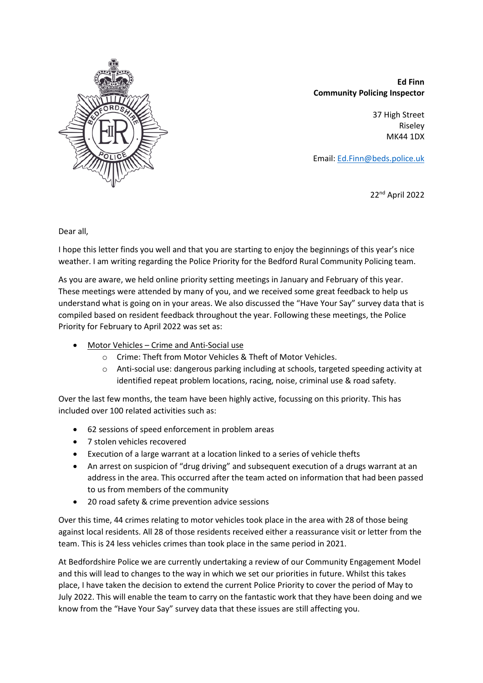

**Ed Finn Community Policing Inspector**

> 37 High Street Riseley MK44 1DX

Email: [Ed.Finn@beds.police.uk](mailto:Ed.Finn@beds.police.uk)

22nd April 2022

Dear all,

I hope this letter finds you well and that you are starting to enjoy the beginnings of this year's nice weather. I am writing regarding the Police Priority for the Bedford Rural Community Policing team.

As you are aware, we held online priority setting meetings in January and February of this year. These meetings were attended by many of you, and we received some great feedback to help us understand what is going on in your areas. We also discussed the "Have Your Say" survey data that is compiled based on resident feedback throughout the year. Following these meetings, the Police Priority for February to April 2022 was set as:

- Motor Vehicles Crime and Anti-Social use
	- o Crime: Theft from Motor Vehicles & Theft of Motor Vehicles.
	- o Anti-social use: dangerous parking including at schools, targeted speeding activity at identified repeat problem locations, racing, noise, criminal use & road safety.

Over the last few months, the team have been highly active, focussing on this priority. This has included over 100 related activities such as:

- 62 sessions of speed enforcement in problem areas
- 7 stolen vehicles recovered
- Execution of a large warrant at a location linked to a series of vehicle thefts
- An arrest on suspicion of "drug driving" and subsequent execution of a drugs warrant at an address in the area. This occurred after the team acted on information that had been passed to us from members of the community
- 20 road safety & crime prevention advice sessions

Over this time, 44 crimes relating to motor vehicles took place in the area with 28 of those being against local residents. All 28 of those residents received either a reassurance visit or letter from the team. This is 24 less vehicles crimes than took place in the same period in 2021.

At Bedfordshire Police we are currently undertaking a review of our Community Engagement Model and this will lead to changes to the way in which we set our priorities in future. Whilst this takes place, I have taken the decision to extend the current Police Priority to cover the period of May to July 2022. This will enable the team to carry on the fantastic work that they have been doing and we know from the "Have Your Say" survey data that these issues are still affecting you.